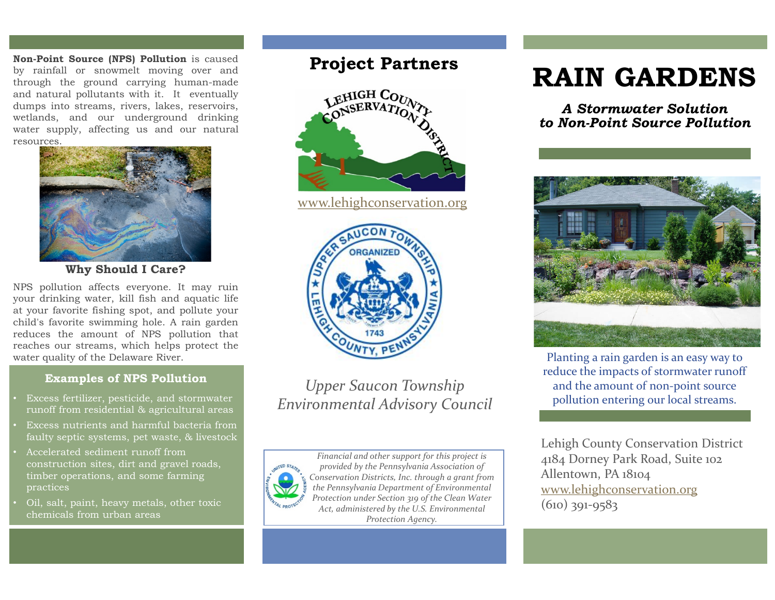**Non-Point Source (NPS) Pollution** is caused by rainfall or snowmelt moving over and through the ground carrying human-made and natural pollutants with it. It eventually dumps into streams, rivers, lakes, reservoirs, wetlands, and our underground drinking water supply, affecting us and our natural resources.



**Why Should I Care?**

NPS pollution affects everyone. It may ruin your drinking water, kill fish and aquatic life at your favorite fishing spot, and pollute your child's favorite swimming hole. A rain garden reduces the amount of NPS pollution that reaches our streams, which helps protect the water quality of the Delaware River.

### **Examples of NPS Pollution**

- Excess fertilizer, pesticide, and stormwater runoff from residential & agricultural areas
- Excess nutrients and harmful bacteria from faulty septic systems, pet waste, & livestock
- Accelerated sediment runoff from construction sites, dirt and gravel roads, timber operations, and some farming practices
- Oil, salt, paint, heavy metals, other toxic chemicals from urban areas

# **Project Partners**



[www.lehighconservation.org](http://www.lehighconservation.org/)



*Upper Saucon Township Environmental Advisory Council*



*Financial and other support for this project is provided by the Pennsylvania Association of Conservation Districts, Inc. through a grant from the Pennsylvania Department of Environmental Protection under Section 319 of the Clean Water Act, administered by the U.S. Environmental Protection Agency.*

# **RAIN GARDENS**

*A Stormwater Solution to Non-Point Source Pollution* 



Planting a rain garden is an easy way to reduce the impacts of stormwater runoff and the amount of non-point source pollution entering our local streams.

Lehigh County Conservation District 4184 Dorney Park Road, Suite 102 Allentown, PA 18104 [www.lehighconservation.org](http://www.lehighconservation.org/) (610) 391-9583